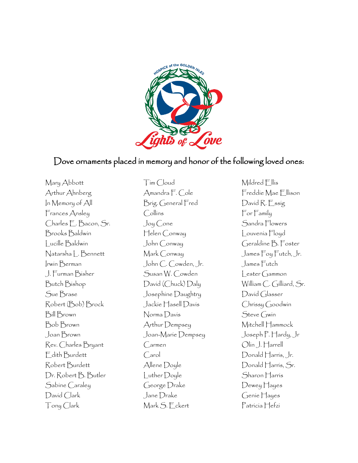

## Dove ornaments placed in memory and honor of the following loved ones:

Mary Abbott Arthur Ahnberg In Memory of All Frances Ansley Charles E. Bacon, Sr. Brooks Baldwin Lucille Baldwin Natarsha L. Bennett Irwin Berman J. Furman Bisher Butch Bishop Sue Brase Robert (Bob) Brock Bill Brown Bob Brown Joan Brown Rev. Charles Bryant Edith Burdett Robert Burdett Dr. Robert B. Butler Sabine Caraley David Clark Tony Clark

Tim Cloud Amandra F. Cole Brig. General Fred Collins Joy Cone Helen Conway John Conway Mark Conway John C. Cowden, Jr. Susan W. Cowden David (Chuck) Daly Josephine Daughtry Jackie Hasell Davis Norma Davis Arthur Dempsey Joan-Marie Dempsey Carmen Carol Allene Doyle Luther Doyle George Drake Jane Drake Mark S. Eckert

Mildred Ellis Freddie Mae Ellison David R. Essig For Family Sandra Flowers Louvenia Floyd Geraldine B. Foster James Foy Futch, Jr. James Futch Lester Gammon William C. Gilliard, Sr. David Glasser Chrissy Goodwin Steve Gwin Mitchell Hammock Joseph P. Hardy, Jr Olin J. Harrell Donald Harris, Jr. Donald Harris, Sr. Sharon Harris Dewey Hayes Genie Hayes Patricia Hefzi